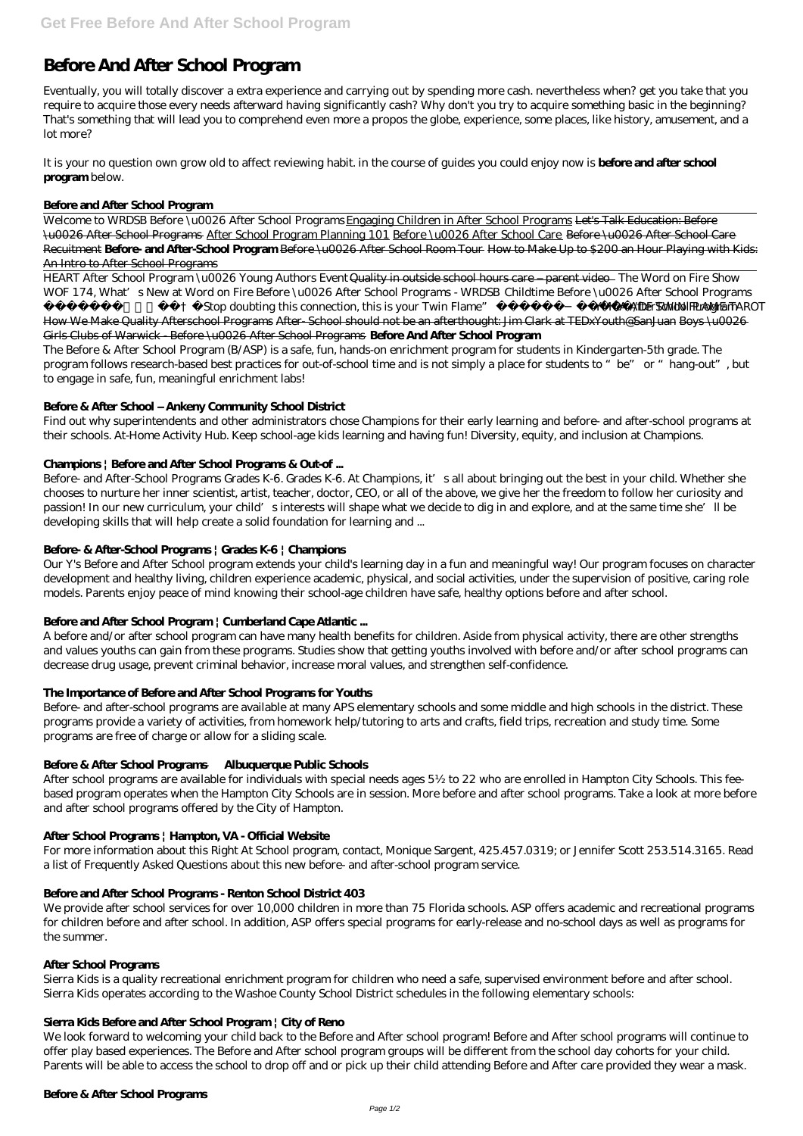# **Before And After School Program**

Eventually, you will totally discover a extra experience and carrying out by spending more cash. nevertheless when? get you take that you require to acquire those every needs afterward having significantly cash? Why don't you try to acquire something basic in the beginning? That's something that will lead you to comprehend even more a propos the globe, experience, some places, like history, amusement, and a lot more?

It is your no question own grow old to affect reviewing habit. in the course of guides you could enjoy now is **before and after school program** below.

#### **Before and After School Program**

Aries- "Stop doubting this connection, this is your Twin Flame" ~ DM/DF TWIN FLAME **YMCA**TA *fterSchool Program* How We Make Quality Afterschool Programs After-School should not be an afterthought: Jim Clark at TEDxYouth@SanJuan Boys \u0026 Girls Clubs of Warwick - Before \u0026 After School Programs **Before And After School Program**

Welcome to WRDSB Before \u0026 After School Programs Engaging Children in After School Programs Let's Talk Education: Before \u0026 After School Programs After School Program Planning 101 Before \u0026 After School Care Before \u0026 After School Care Recuitment **Before- and After-School Program** Before \u0026 After School Room Tour How to Make Up to \$200 an Hour Playing with Kids: An Intro to After School Programs

HEART After School Program \u0026 Young Authors Event Quality in outside school hours care – parent video *The Word on Fire Show WOF 174, What's New at Word on Fire Before \u0026 After School Programs - WRDSB Childtime Before \u0026 After School Programs*

Before- and After-School Programs Grades K-6. Grades K-6. At Champions, it's all about bringing out the best in your child. Whether she chooses to nurture her inner scientist, artist, teacher, doctor, CEO, or all of the above, we give her the freedom to follow her curiosity and passion! In our new curriculum, your child's interests will shape what we decide to dig in and explore, and at the same time she'll be developing skills that will help create a solid foundation for learning and ...

The Before & After School Program (B/ASP) is a safe, fun, hands-on enrichment program for students in Kindergarten-5th grade. The program follows research-based best practices for out-of-school time and is not simply a place for students to "be" or "hang-out", but to engage in safe, fun, meaningful enrichment labs!

#### **Before & After School – Ankeny Community School District**

Find out why superintendents and other administrators chose Champions for their early learning and before- and after-school programs at their schools. At-Home Activity Hub. Keep school-age kids learning and having fun! Diversity, equity, and inclusion at Champions.

#### **Champions | Before and After School Programs & Out-of ...**

# **Before- & After-School Programs | Grades K-6 | Champions**

Our Y's Before and After School program extends your child's learning day in a fun and meaningful way! Our program focuses on character development and healthy living, children experience academic, physical, and social activities, under the supervision of positive, caring role models. Parents enjoy peace of mind knowing their school-age children have safe, healthy options before and after school.

# **Before and After School Program | Cumberland Cape Atlantic ...**

A before and/or after school program can have many health benefits for children. Aside from physical activity, there are other strengths and values youths can gain from these programs. Studies show that getting youths involved with before and/or after school programs can decrease drug usage, prevent criminal behavior, increase moral values, and strengthen self-confidence.

# **The Importance of Before and After School Programs for Youths**

Before- and after-school programs are available at many APS elementary schools and some middle and high schools in the district. These programs provide a variety of activities, from homework help/tutoring to arts and crafts, field trips, recreation and study time. Some programs are free of charge or allow for a sliding scale.

# **Before & After School Programs — Albuquerque Public Schools**

After school programs are available for individuals with special needs ages 5½ to 22 who are enrolled in Hampton City Schools. This feebased program operates when the Hampton City Schools are in session. More before and after school programs. Take a look at more before and after school programs offered by the City of Hampton.

#### **After School Programs | Hampton, VA - Official Website**

For more information about this Right At School program, contact, Monique Sargent, 425.457.0319; or Jennifer Scott 253.514.3165. Read

a list of Frequently Asked Questions about this new before- and after-school program service.

#### **Before and After School Programs - Renton School District 403**

We provide after school services for over 10,000 children in more than 75 Florida schools. ASP offers academic and recreational programs for children before and after school. In addition, ASP offers special programs for early-release and no-school days as well as programs for the summer.

#### **After School Programs**

Sierra Kids is a quality recreational enrichment program for children who need a safe, supervised environment before and after school. Sierra Kids operates according to the Washoe County School District schedules in the following elementary schools:

#### **Sierra Kids Before and After School Program | City of Reno**

We look forward to welcoming your child back to the Before and After school program! Before and After school programs will continue to offer play based experiences. The Before and After school program groups will be different from the school day cohorts for your child. Parents will be able to access the school to drop off and or pick up their child attending Before and After care provided they wear a mask.

#### **Before & After School Programs**